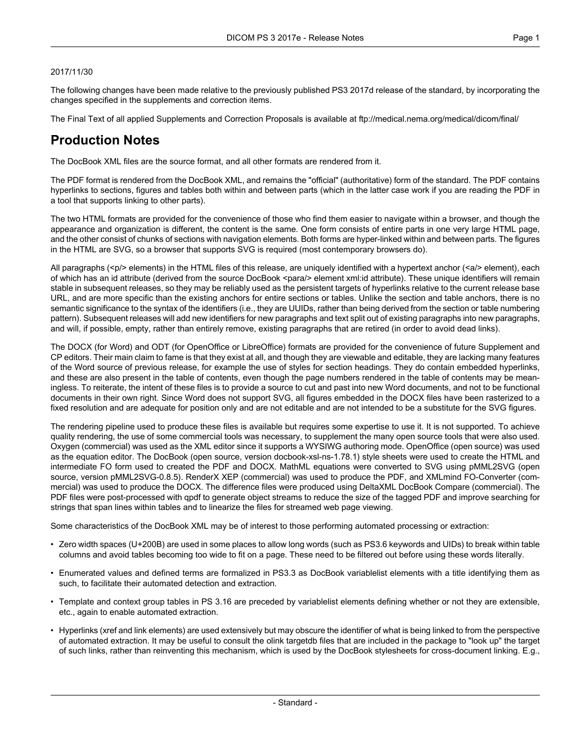#### 2017/11/30

The following changes have been made relative to the previously published PS3 2017d release of the standard, by incorporating the changes specified in the supplements and correction items.

The Final Text of all applied Supplements and Correction Proposals is available at <ftp://medical.nema.org/medical/dicom/final/>

# **Production Notes**

The DocBook XML files are the source format, and all other formats are rendered from it.

The PDF format is rendered from the DocBook XML, and remains the "official" (authoritative) form of the standard. The PDF contains hyperlinks to sections, figures and tables both within and between parts (which in the latter case work if you are reading the PDF in a tool that supports linking to other parts).

The two HTML formats are provided for the convenience of those who find them easier to navigate within a browser, and though the appearance and organization is different, the content is the same. One form consists of entire parts in one very large HTML page, and the other consist of chunks of sections with navigation elements. Both forms are hyper-linked within and between parts. The figures in the HTML are SVG, so a browser that supports SVG is required (most contemporary browsers do).

All paragraphs (<p/> elements) in the HTML files of this release, are uniquely identified with a hypertext anchor (<a/><a/>> element), each of which has an id attribute (derived from the source DocBook <para/> element xml:id attribute). These unique identifiers will remain stable in subsequent releases, so they may be reliably used as the persistent targets of hyperlinks relative to the current release base URL, and are more specific than the existing anchors for entire sections or tables. Unlike the section and table anchors, there is no semantic significance to the syntax of the identifiers (i.e., they are UUIDs, rather than being derived from the section or table numbering pattern). Subsequent releases will add new identifiers for new paragraphs and text split out of existing paragraphs into new paragraphs, and will, if possible, empty, rather than entirely remove, existing paragraphs that are retired (in order to avoid dead links).

The DOCX (for Word) and ODT (for OpenOffice or LibreOffice) formats are provided for the convenience of future Supplement and CP editors. Their main claim to fame is that they exist at all, and though they are viewable and editable, they are lacking many features of the Word source of previous release, for example the use of styles for section headings. They do contain embedded hyperlinks, and these are also present in the table of contents, even though the page numbers rendered in the table of contents may be mean ingless. To reiterate, the intent of these files is to provide a source to cut and past into new Word documents, and not to be functional documents in their own right. Since Word does not support SVG, all figures embedded in the DOCX files have been rasterized to a fixed resolution and are adequate for position only and are not editable and are not intended to be a substitute for the SVG figures.

The rendering pipeline used to produce these files is available but requires some expertise to use it. It is not supported. To achieve quality rendering, the use of some commercial tools was necessary, to supplement the many open source tools that were also used. Oxygen (commercial) was used as the XML editor since it supports a WYSIWG authoring mode. OpenOffice (open source) was used as the equation editor. The DocBook (open source, version docbook-xsl-ns-1.78.1) style sheets were used to create the HTML and intermediate FO form used to created the PDF and DOCX. MathML equations were converted to SVG using pMML2SVG (open source, version pMML2SVG-0.8.5). RenderX XEP (commercial) was used to produce the PDF, and XMLmind FO-Converter (com mercial) was used to produce the DOCX. The difference files were produced using DeltaXML DocBook Compare (commercial). The PDF files were post-processed with qpdf to generate object streams to reduce the size of the tagged PDF and improve searching for strings that span lines within tables and to linearize the files for streamed web page viewing.

Some characteristics of the DocBook XML may be of interest to those performing automated processing or extraction:

- Zero width spaces (U+200B) are used in some places to allow long words (such as PS3.6 keywords and UIDs) to break within table columns and avoid tables becoming too wide to fit on a page. These need to be filtered out before using these words literally.
- Enumerated values and defined terms are formalized in PS3.3 as DocBook variablelist elements with a title identifying them as such, to facilitate their automated detection and extraction.
- Template and context group tables in PS 3.16 are preceded by variablelist elements defining whether or not they are extensible, etc., again to enable automated extraction.
- Hyperlinks (xref and link elements) are used extensively but may obscure the identifier of what is being linked to from the perspective of automated extraction. It may be useful to consult the olink targetdb files that are included in the package to "look up" the target of such links, rather than reinventing this mechanism, which is used by the DocBook stylesheets for cross-document linking. E.g.,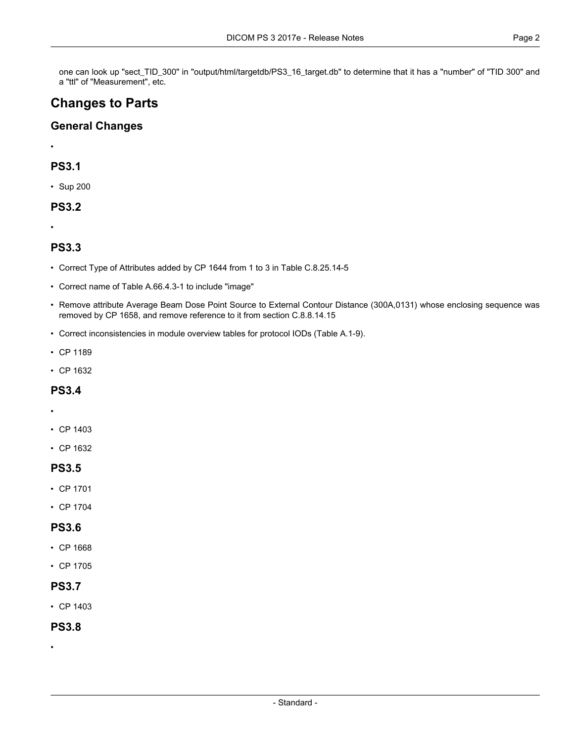one can look up "sect\_TID\_300" in "output/html/targetdb/PS3\_16\_target.db" to determine that it has a "number" of "TID 300" and a "ttl" of "Measurement", etc.

# **Changes to Parts**

### **General Changes**

•

## **PS3.1**

• [Sup](#page-3-0) 200

### **PS3.2**

•

## **PS3.3**

- Correct Type of Attributes added by CP 1644 from 1 to 3 in Table C.8.25.14-5
- Correct name of Table A.66.4.3-1 to include "image"
- Remove attribute Average Beam Dose Point Source to External Contour Distance (300A,0131) whose enclosing sequence was removed by CP 1658, and remove reference to it from section C.8.8.14.15
- Correct inconsistencies in module overview tables for protocol IODs (Table A.1-9).
- CP [1189](#page-3-1)
- CP [1632](#page-3-2)

### **PS3.4**

- •
- CP [1403](#page-3-3)
- CP [1632](#page-3-2)

### **PS3.5**

- CP [1701](#page-3-4)
- CP [1704](#page-3-5)

### **PS3.6**

- CP [1668](#page-3-6)
- CP [1705](#page-3-7)

### **PS3.7**

• CP [1403](#page-3-3)

### **PS3.8**

•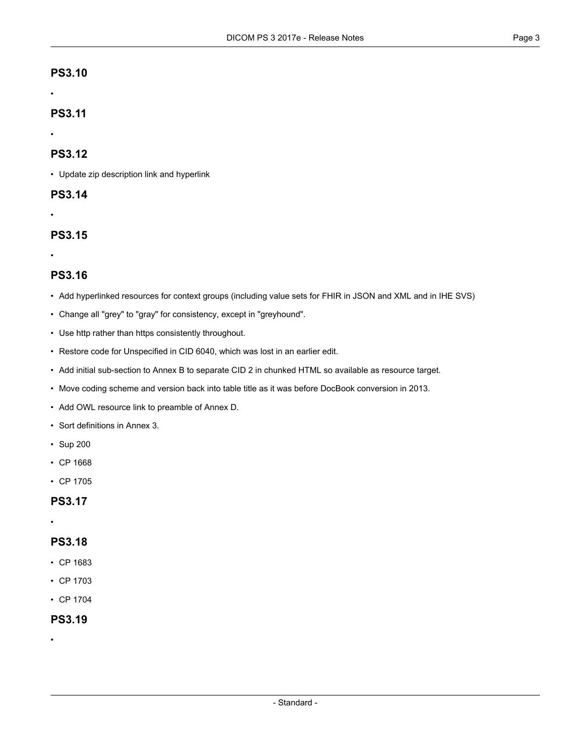#### •

## **PS3.11**

#### •

## **PS3.12**

• Update zip description link and hyperlink

## **PS3.14**

•

# **PS3.15**

•

## **PS3.16**

- Add hyperlinked resources for context groups (including value sets for FHIR in JSON and XML and in IHE SVS)
- Change all "grey" to "gray" for consistency, except in "greyhound".
- Use http rather than https consistently throughout.
- Restore code for Unspecified in CID 6040, which was lost in an earlier edit.
- Add initial sub-section to Annex B to separate CID 2 in chunked HTML so available as resource target.
- Move coding scheme and version back into table title as it was before DocBook conversion in 2013.
- Add OWL resource link to preamble of Annex D.
- Sort definitions in Annex 3.
- [Sup](#page-3-0) 200
- CP [1668](#page-3-6)
- CP [1705](#page-3-7)

## **PS3.17**

#### •

## **PS3.18**

- CP [1683](#page-3-8)
- CP [1703](#page-3-9)
- CP [1704](#page-3-5)

## **PS3.19**

•